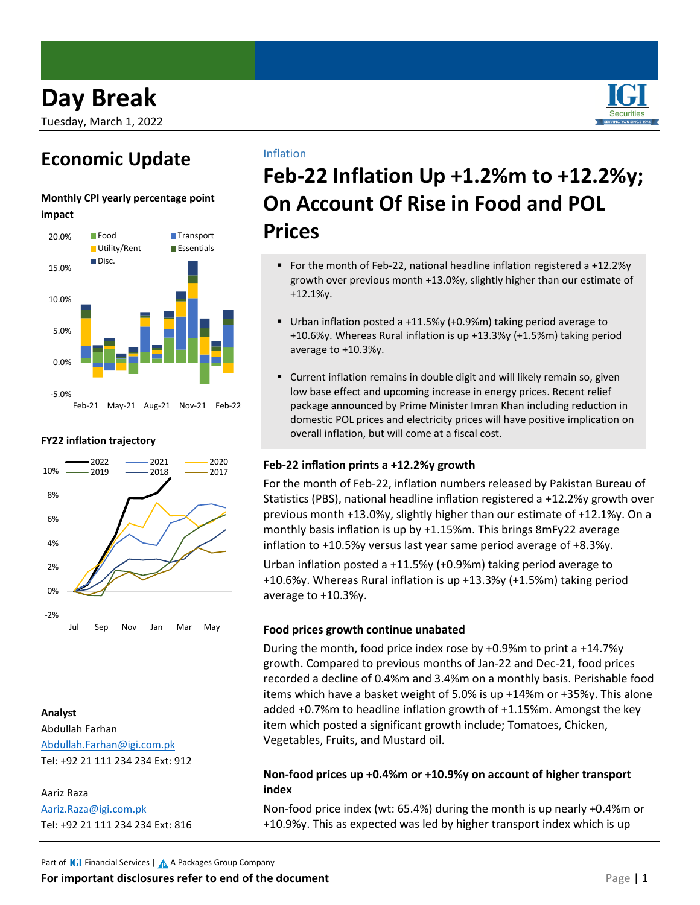

### **Economic Update**

#### **Monthly CPI yearly percentage point impact**



#### **FY22 inflation trajectory**



#### **Analyst** Abdullah Farhan [Abdullah.Farhan@igi.com.pk](mailto:Abdullah.Farhan@igi.com.pk) Tel: +92 21 111 234 234 Ext: 912

#### Aariz Raza [Aariz.Raza@igi.com.pk](mailto:Aariz.Raza@igi.com.pk) Tel: +92 21 111 234 234 Ext: 816

### Inflation

# **Feb-22 Inflation Up +1.2%m to +12.2%y; On Account Of Rise in Food and POL Prices**

- For the month of Feb-22, national headline inflation registered a  $+12.2\%$ y growth over previous month +13.0%y, slightly higher than our estimate of +12.1%y.
- Urban inflation posted a +11.5%y (+0.9%m) taking period average to +10.6%y. Whereas Rural inflation is up +13.3%y (+1.5%m) taking period average to +10.3%y.
- Current inflation remains in double digit and will likely remain so, given low base effect and upcoming increase in energy prices. Recent relief package announced by Prime Minister Imran Khan including reduction in domestic POL prices and electricity prices will have positive implication on overall inflation, but will come at a fiscal cost.

#### **Feb-22 inflation prints a +12.2%y growth**

For the month of Feb-22, inflation numbers released by Pakistan Bureau of Statistics (PBS), national headline inflation registered a +12.2%y growth over previous month +13.0%y, slightly higher than our estimate of +12.1%y. On a monthly basis inflation is up by +1.15%m. This brings 8mFy22 average inflation to +10.5%y versus last year same period average of +8.3%y.

Urban inflation posted a +11.5%y (+0.9%m) taking period average to +10.6%y. Whereas Rural inflation is up +13.3%y (+1.5%m) taking period average to +10.3%y.

#### **Food prices growth continue unabated**

During the month, food price index rose by +0.9%m to print a +14.7%y growth. Compared to previous months of Jan-22 and Dec-21, food prices recorded a decline of 0.4%m and 3.4%m on a monthly basis. Perishable food items which have a basket weight of 5.0% is up +14%m or +35%y. This alone added +0.7%m to headline inflation growth of +1.15%m. Amongst the key item which posted a significant growth include; Tomatoes, Chicken, Vegetables, Fruits, and Mustard oil.

#### **Non-food prices up +0.4%m or +10.9%y on account of higher transport index**

Non-food price index (wt: 65.4%) during the month is up nearly +0.4%m or +10.9%y. This as expected was led by higher transport index which is up

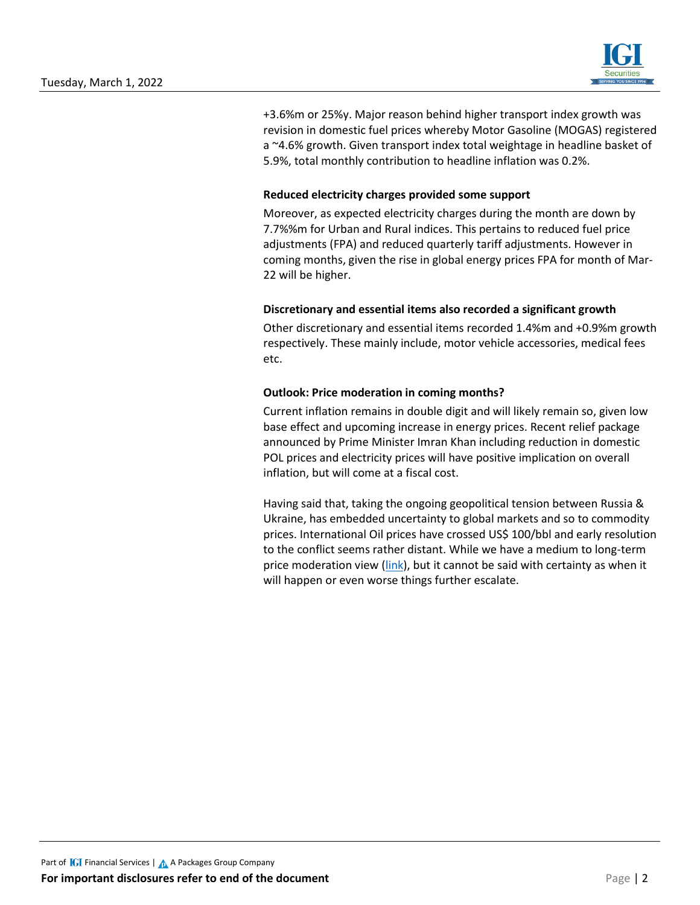

+3.6%m or 25%y. Major reason behind higher transport index growth was revision in domestic fuel prices whereby Motor Gasoline (MOGAS) registered a ~4.6% growth. Given transport index total weightage in headline basket of 5.9%, total monthly contribution to headline inflation was 0.2%.

#### **Reduced electricity charges provided some support**

Moreover, as expected electricity charges during the month are down by 7.7%%m for Urban and Rural indices. This pertains to reduced fuel price adjustments (FPA) and reduced quarterly tariff adjustments. However in coming months, given the rise in global energy prices FPA for month of Mar-22 will be higher.

#### **Discretionary and essential items also recorded a significant growth**

Other discretionary and essential items recorded 1.4%m and +0.9%m growth respectively. These mainly include, motor vehicle accessories, medical fees etc.

#### **Outlook: Price moderation in coming months?**

Current inflation remains in double digit and will likely remain so, given low base effect and upcoming increase in energy prices. Recent relief package announced by Prime Minister Imran Khan including reduction in domestic POL prices and electricity prices will have positive implication on overall inflation, but will come at a fiscal cost.

Having said that, taking the ongoing geopolitical tension between Russia & Ukraine, has embedded uncertainty to global markets and so to commodity prices. International Oil prices have crossed US\$ 100/bbl and early resolution to the conflict seems rather distant. While we have a medium to long-term price moderation view [\(link\)](https://www.igisecurities.com.pk/downloads/research/OilAt90s.pdf), but it cannot be said with certainty as when it will happen or even worse things further escalate.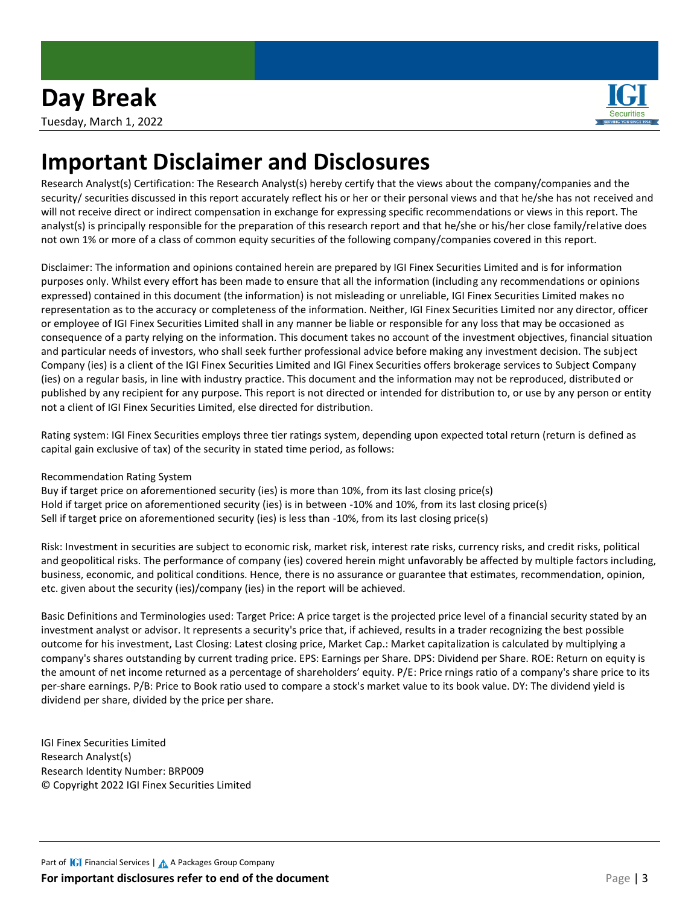

# **Important Disclaimer and Disclosures**

Research Analyst(s) Certification: The Research Analyst(s) hereby certify that the views about the company/companies and the security/ securities discussed in this report accurately reflect his or her or their personal views and that he/she has not received and will not receive direct or indirect compensation in exchange for expressing specific recommendations or views in this report. The analyst(s) is principally responsible for the preparation of this research report and that he/she or his/her close family/relative does not own 1% or more of a class of common equity securities of the following company/companies covered in this report.

Disclaimer: The information and opinions contained herein are prepared by IGI Finex Securities Limited and is for information purposes only. Whilst every effort has been made to ensure that all the information (including any recommendations or opinions expressed) contained in this document (the information) is not misleading or unreliable, IGI Finex Securities Limited makes no representation as to the accuracy or completeness of the information. Neither, IGI Finex Securities Limited nor any director, officer or employee of IGI Finex Securities Limited shall in any manner be liable or responsible for any loss that may be occasioned as consequence of a party relying on the information. This document takes no account of the investment objectives, financial situation and particular needs of investors, who shall seek further professional advice before making any investment decision. The subject Company (ies) is a client of the IGI Finex Securities Limited and IGI Finex Securities offers brokerage services to Subject Company (ies) on a regular basis, in line with industry practice. This document and the information may not be reproduced, distributed or published by any recipient for any purpose. This report is not directed or intended for distribution to, or use by any person or entity not a client of IGI Finex Securities Limited, else directed for distribution.

Rating system: IGI Finex Securities employs three tier ratings system, depending upon expected total return (return is defined as capital gain exclusive of tax) of the security in stated time period, as follows:

Recommendation Rating System

Buy if target price on aforementioned security (ies) is more than 10%, from its last closing price(s) Hold if target price on aforementioned security (ies) is in between -10% and 10%, from its last closing price(s) Sell if target price on aforementioned security (ies) is less than -10%, from its last closing price(s)

Risk: Investment in securities are subject to economic risk, market risk, interest rate risks, currency risks, and credit risks, political and geopolitical risks. The performance of company (ies) covered herein might unfavorably be affected by multiple factors including, business, economic, and political conditions. Hence, there is no assurance or guarantee that estimates, recommendation, opinion, etc. given about the security (ies)/company (ies) in the report will be achieved.

Basic Definitions and Terminologies used: Target Price: A price target is the projected price level of a financial security stated by an investment analyst or advisor. It represents a security's price that, if achieved, results in a trader recognizing the best possible outcome for his investment, Last Closing: Latest closing price, Market Cap.: Market capitalization is calculated by multiplying a company's shares outstanding by current trading price. EPS: Earnings per Share. DPS: Dividend per Share. ROE: Return on equity is the amount of net income returned as a percentage of shareholders' equity. P/E: Price rnings ratio of a company's share price to its per-share earnings. P/B: Price to Book ratio used to compare a stock's market value to its book value. DY: The dividend yield is dividend per share, divided by the price per share.

IGI Finex Securities Limited Research Analyst(s) Research Identity Number: BRP009 © Copyright 2022 IGI Finex Securities Limited